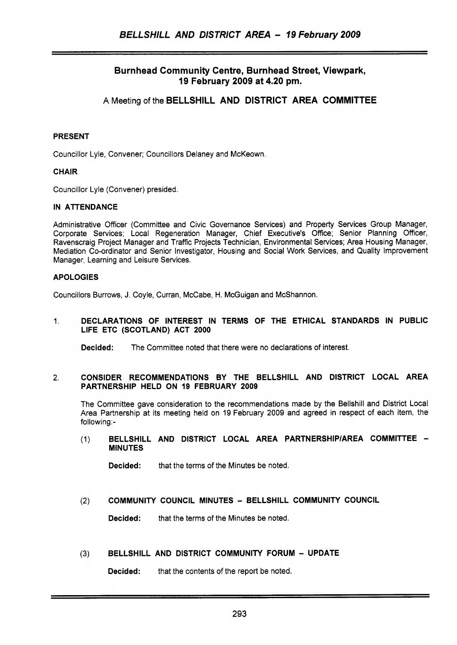# **Burn head Community Centre, Burn head Street, Viewpark, I9 February 2009 at 4.20 pm.**

A Meeting of the **BELLSHILL AND DISTRICT AREA COMMITTEE** 

# PRESENT

Councillor Lyle, Convener; Councillors Delaney and McKeown.

## **CHAIR**

Councillor Lyle (Convener) presided.

## IN ATTENDANCE

Administrative Officer (Committee and Civic Governance Services) and Property Services Group Manager, Corporate Services; Local Regeneration Manager, Chief Executive's Office; Senior Planning Officer, Ravenscraig Project Manager and Traffic Projects Technician, Environmental Services; Area Housing Manager, Mediation Co-ordinator and Senior Investigator, Housing and Social Work Services, and Quality Improvement Manager, Learning and Leisure Services.

## APOLOGIES

Councillors Burrows, J. Coyle, Curran, McCabe, H. McGuigan and McShannon.

### 1. DECLARATIONS OF INTEREST IN TERMS OF THE ETHICAL STANDARDS IN PUBLIC LIFE ETC (SCOTLAND) ACT 2000

Decided: The Committee noted that there were no declarations of interest.

#### 2. CONSIDER RECOMMENDATIONS BY THE BELLSHILL AND DISTRICT LOCAL AREA PARTNERSHIP HELD ON 19 FEBRUARY 2009

The Committee gave consideration to the recommendations made by the Bellshill and District Local Area Partnership at its meeting held on 19 February 2009 and agreed in respect of each item, the following:-

(1) BELLSHILL AND DISTRICT LOCAL AREA PARTNERSHIP/AREA COMMITTEE -**MINUTES** 

Decided: that the terms of the Minutes be noted.

### **(2)** COMMUNITY COUNCIL MINUTES - BELLSHILL COMMUNITY COUNCIL

Decided: that the terms of the Minutes be noted.

### **(3)** BELLSHILL AND DISTRICT COMMUNITY FORUM - UPDATE

**Decided:** that the contents of the report be noted.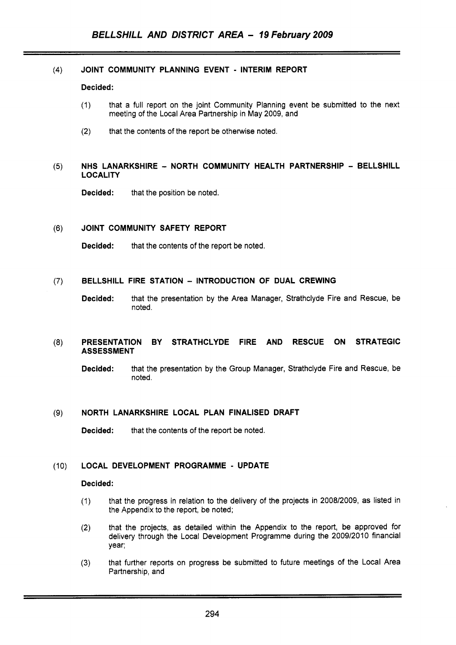### **(4)** JOINT COMMUNITY PLANNING EVENT - INTERIM REPORT

#### Decided:

- (1) that a full report on the joint Community Planning event be submitted to the next meeting of the Local Area Partnership in May 2009, and
- (2) that the contents of the report be otherwise noted.

### (5) NHS LANARKSHIRE - NORTH COMMUNITY HEALTH PARTNERSHIP - BELLSHILL **LOCALITY**

Decided: that the position be noted.

### (6) JOINT COMMUNITY SAFETY REPORT

Decided: that the contents of the report be noted.

# *(7)* BELLSHILL FIRE STATION - INTRODUCTION OF DUAL CREWING

Decided: that the presentation by the Area Manager, Strathclyde Fire and Rescue, be noted.

### (8) PRESENTATION BY STRATHCLYDE FIRE AND RESCUE ON STRATEGIC ASSESSMENT

Decided: that the presentation by the Group Manager, Strathclyde Fire and Rescue, be noted.

### **(9)** NORTH LANARKSHIRE LOCAL PLAN FINALISED DRAFT

Decided: that the contents of the report be noted.

### (10) LOCAL DEVELOPMENT PROGRAMME - UPDATE

#### Decided:

- (1) that the progress in relation to the delivery of the projects in 2008/2009, as listed in the Appendix to the report, be noted;
- (2) that the projects, as detailed within the Appendix to the report, be approved for delivery through the Local Development Programme during the 2009/2010 financial year;
- that further reports on progress be submitted to future meetings of the Local Area Partnership, and **(3)**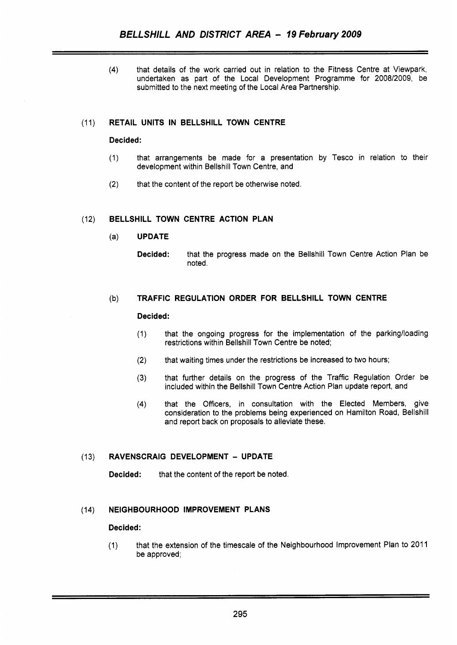**(4)** that details of the work carried out in relation to the Fitness Centre at Viewpark, undertaken as part of the Local Development Programme for 2008/2009, be submitted to the next meeting of the Local Area Partnership.

# (11) **RETAIL UNITS IN BELLSHILL TOWN CENTRE**

### **Decided:**

- (1) that arrangements be made for a presentation by Tesco in relation to their development within Bellshill Town Centre, and
- (2) that the content of the report be otherwise noted.

# (12) **BELLSHILL TOWN CENTRE ACTION PLAN**

- (a) **UPDATE** 
	- **Decided:** that the progress made on the Bellshill Town Centre Action Plan be noted.

# (b) **TRAFFIC REGULATION ORDER FOR BELLSHILL TOWN CENTRE**

### **Decided:**

- (1) that the ongoing progress for the implementation of the parkinglloading restrictions within Bellshill Town Centre be noted:
- (2) that waiting times under the restrictions be increased to two hours;
- **(3)** that further details on the progress of the Traffic Regulation Order be included within the Bellshill Town Centre Action Plan update report, and
- **(4)** that the Officers, in consultation with the Elected Members, give consideration to the problems being experienced on Hamilton Road, Bellshill and report back on proposals to alleviate these.

### (1 3) **RAVENSCRAIG DEVELOPMENT** - **UPDATE**

**Decided:** that the content of the report be noted.

### (14) **NEIGHBOURHOOD IMPROVEMENT PLANS**

### **Decided:**

(1) that the extension of the timescale of the Neighbourhood Improvement Plan to 2011 be approved;